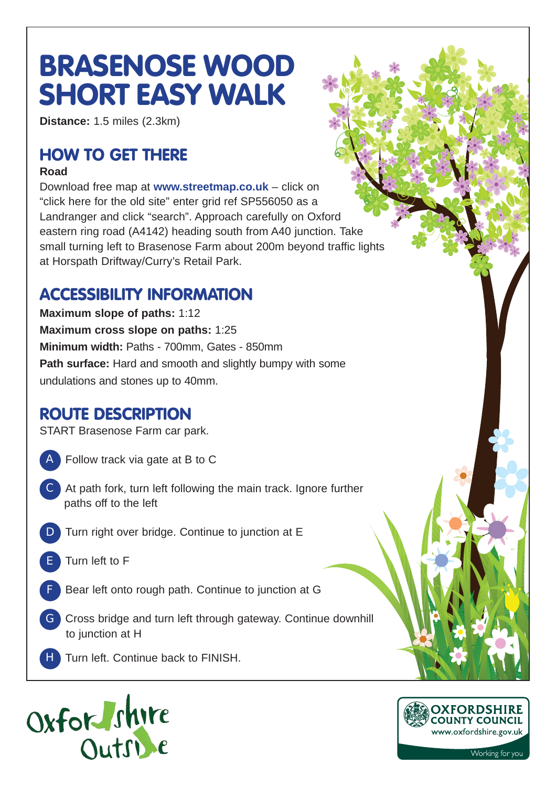# **BRASENOSE WOOD SHORT EASY WALK**

**Distance:** 1.5 miles (2.3km)

## **HOW TO GET THERE**

#### **Road**

Download free map at **www.streetmap.co.uk** – click on "click here for the old site" enter grid ref SP556050 as a Landranger and click "search". Approach carefully on Oxford eastern ring road (A4142) heading south from A40 junction. Take small turning left to Brasenose Farm about 200m beyond traffic lights at Horspath Driftway/Curry's Retail Park.

### **ACCESSIBILITY INFORMATION**

**Maximum slope of paths:** 1:12 **Maximum cross slope on paths:** 1:25 **Minimum width:** Paths - 700mm, Gates - 850mm **Path surface:** Hard and smooth and slightly bumpy with some undulations and stones up to 40mm.

## **ROUTE DESCRIPTION**

START Brasenose Farm car park.

- Follow track via gate at B to C A
- At path fork, turn left following the main track. Ignore further C paths off to the left
- Turn right over bridge. Continue to junction at E D
- Turn left to F E

H

- Bear left onto rough path. Continue to junction at G F
- G Cross bridge and turn left through gateway. Continue downhill to junction at H
	- Turn left. Continue back to FINISH.





Working for you